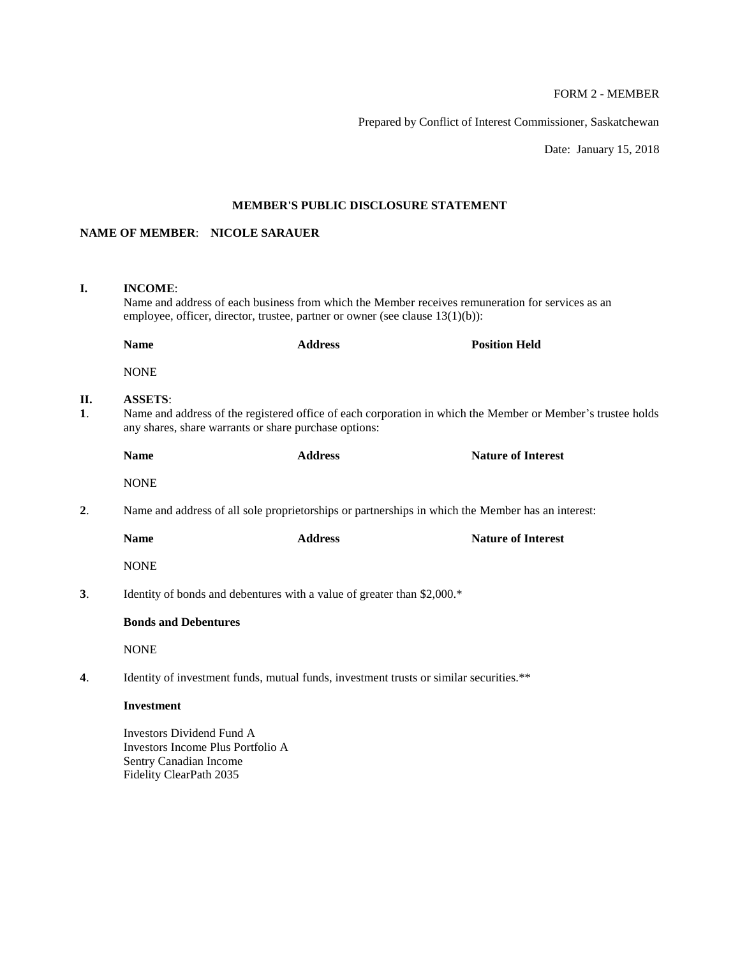# FORM 2 - MEMBER

Prepared by Conflict of Interest Commissioner, Saskatchewan

Date: January 15, 2018

## **MEMBER'S PUBLIC DISCLOSURE STATEMENT**

# **NAME OF MEMBER**: **NICOLE SARAUER**

| I.       | <b>INCOME:</b><br>Name and address of each business from which the Member receives remuneration for services as an<br>employee, officer, director, trustee, partner or owner (see clause $13(1)(b)$ ): |                |                           |  |  |
|----------|--------------------------------------------------------------------------------------------------------------------------------------------------------------------------------------------------------|----------------|---------------------------|--|--|
|          | <b>Name</b>                                                                                                                                                                                            | <b>Address</b> | <b>Position Held</b>      |  |  |
|          | <b>NONE</b>                                                                                                                                                                                            |                |                           |  |  |
| П.<br>1. | <b>ASSETS:</b><br>Name and address of the registered office of each corporation in which the Member or Member's trustee holds<br>any shares, share warrants or share purchase options:                 |                |                           |  |  |
|          | <b>Name</b>                                                                                                                                                                                            | <b>Address</b> | <b>Nature of Interest</b> |  |  |
|          | <b>NONE</b>                                                                                                                                                                                            |                |                           |  |  |
| 2.       | Name and address of all sole proprietorships or partnerships in which the Member has an interest:                                                                                                      |                |                           |  |  |
|          | <b>Name</b>                                                                                                                                                                                            | <b>Address</b> | <b>Nature of Interest</b> |  |  |
|          | <b>NONE</b>                                                                                                                                                                                            |                |                           |  |  |
| 3.       | Identity of bonds and debentures with a value of greater than \$2,000.*                                                                                                                                |                |                           |  |  |
|          | <b>Bonds and Debentures</b>                                                                                                                                                                            |                |                           |  |  |
|          | <b>NONE</b>                                                                                                                                                                                            |                |                           |  |  |
| 4.       | Identity of investment funds, mutual funds, investment trusts or similar securities.**                                                                                                                 |                |                           |  |  |
|          | <b>Investment</b>                                                                                                                                                                                      |                |                           |  |  |
|          | <b>Investors Dividend Fund A</b><br>Investors Income Plus Portfolio A<br>Sentry Canadian Income<br>Fidelity ClearPath 2035                                                                             |                |                           |  |  |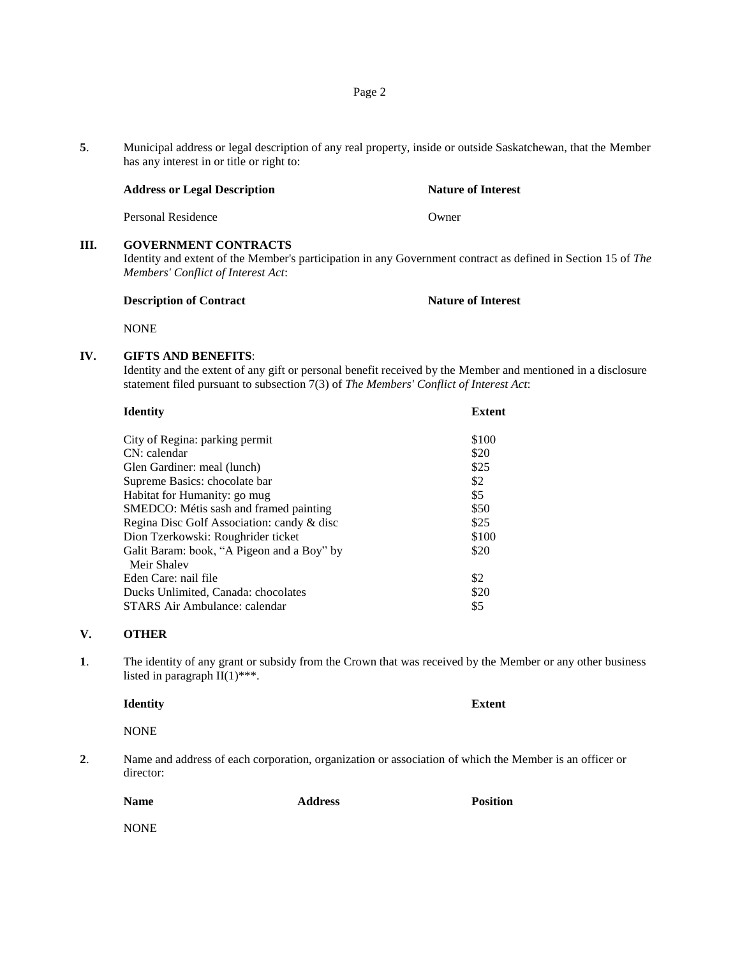**5**. Municipal address or legal description of any real property, inside or outside Saskatchewan, that the Member has any interest in or title or right to:

## **Address or Legal Description Nature of Interest**

Personal Residence **Owner** 

### **III. GOVERNMENT CONTRACTS**

Identity and extent of the Member's participation in any Government contract as defined in Section 15 of *The Members' Conflict of Interest Act*:

**Description of Contract Nature of Interest**

NONE

#### **IV. GIFTS AND BENEFITS**:

Identity and the extent of any gift or personal benefit received by the Member and mentioned in a disclosure statement filed pursuant to subsection 7(3) of *The Members' Conflict of Interest Act*:

| <b>Identity</b>                            | Extent |  |
|--------------------------------------------|--------|--|
| City of Regina: parking permit             | \$100  |  |
| CN: calendar                               | \$20   |  |
| Glen Gardiner: meal (lunch)                | \$25   |  |
| Supreme Basics: chocolate bar              | \$2    |  |
| Habitat for Humanity: go mug               | \$5    |  |
| SMEDCO: Métis sash and framed painting     | \$50   |  |
| Regina Disc Golf Association: candy & disc | \$25   |  |
| Dion Tzerkowski: Roughrider ticket         | \$100  |  |
| Galit Baram: book, "A Pigeon and a Boy" by | \$20   |  |
| Meir Shalev                                |        |  |
| Eden Care: nail file                       | \$2    |  |
| Ducks Unlimited, Canada: chocolates        | \$20   |  |
| STARS Air Ambulance: calendar              | \$5    |  |

### **V. OTHER**

**1**. The identity of any grant or subsidy from the Crown that was received by the Member or any other business listed in paragraph  $II(1)$ \*\*\*.

#### **Identity Extent**

**NONE** 

**2**. Name and address of each corporation, organization or association of which the Member is an officer or director:

**Name Address Position**

NONE